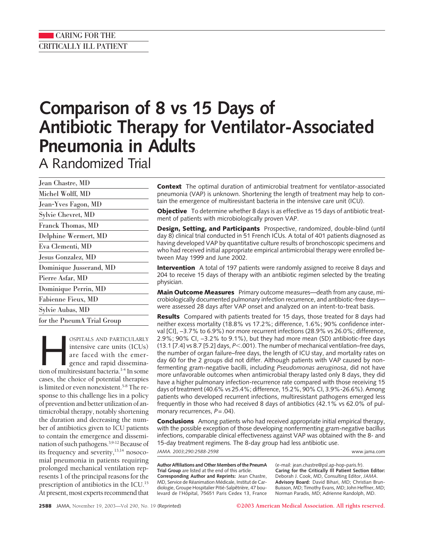# **Comparison of 8 vs 15 Days of Antibiotic Therapy for Ventilator-Associated Pneumonia in Adults**

A Randomized Trial

| Jean Chastre, MD           |
|----------------------------|
| Michel Wolff, MD           |
| Jean-Yves Fagon, MD        |
| Sylvie Chevret, MD         |
| Franck Thomas, MD          |
| Delphine Wermert, MD       |
| Eva Clementi, MD           |
| Jesus Gonzalez, MD         |
| Dominique Jusserand, MD    |
| Pierre Asfar, MD           |
| Dominique Perrin, MD       |
| Fabienne Fieux, MD         |
| Sylvie Aubas, MD           |
| for the PneumA Trial Group |

OSPITALS AND PARTICULARLY<br>
intensive care units (ICUs)<br>
are faced with the emergence and rapid dissemina-<br>
tion of multiresistant bacteria.<sup>1-4</sup> In some intensive care units (ICUs) are faced with the emergence and rapid disseminacases, the choice of potential therapies is limited or even nonexistent.<sup>5-8</sup> The response to this challenge lies in a policy of prevention and better utilization of antimicrobial therapy, notably shortening the duration and decreasing the number of antibiotics given to ICU patients to contain the emergence and dissemination of such pathogens.3,9-12 Because of its frequency and severity, $13,14$  nosocomial pneumonia in patients requiring prolonged mechanical ventilation represents 1 of the principal reasons for the prescription of antibiotics in the ICU.15 At present, most experts recommend that

**Context** The optimal duration of antimicrobial treatment for ventilator-associated pneumonia (VAP) is unknown. Shortening the length of treatment may help to contain the emergence of multiresistant bacteria in the intensive care unit (ICU).

**Objective** To determine whether 8 days is as effective as 15 days of antibiotic treatment of patients with microbiologically proven VAP.

**Design, Setting, and Participants** Prospective, randomized, double-blind (until day 8) clinical trial conducted in 51 French ICUs. A total of 401 patients diagnosed as having developed VAP by quantitative culture results of bronchoscopic specimens and who had received initial appropriate empirical antimicrobial therapy were enrolled between May 1999 and June 2002.

**Intervention** A total of 197 patients were randomly assigned to receive 8 days and 204 to receive 15 days of therapy with an antibiotic regimen selected by the treating physician.

**Main Outcome Measures** Primary outcome measures—death from any cause, microbiologically documented pulmonary infection recurrence, and antibiotic-free days were assessed 28 days after VAP onset and analyzed on an intent-to-treat basis.

**Results** Compared with patients treated for 15 days, those treated for 8 days had neither excess mortality (18.8% vs 17.2%; difference, 1.6%; 90% confidence interval [CI], −3.7% to 6.9%) nor more recurrent infections (28.9% vs 26.0%; difference, 2.9%; 90% CI, −3.2% to 9.1%), but they had more mean (SD) antibiotic-free days (13.1 [7.4] vs 8.7 [5.2] days, *P*.001). The number of mechanical ventilation–free days, the number of organ failure–free days, the length of ICU stay, and mortality rates on day 60 for the 2 groups did not differ. Although patients with VAP caused by nonfermenting gram-negative bacilli, including *Pseudomonas aeruginosa*, did not have more unfavorable outcomes when antimicrobial therapy lasted only 8 days, they did have a higher pulmonary infection-recurrence rate compared with those receiving 15 days of treatment (40.6% vs 25.4%; difference, 15.2%, 90% CI, 3.9%-26.6%). Among patients who developed recurrent infections, multiresistant pathogens emerged less frequently in those who had received 8 days of antibiotics (42.1% vs 62.0% of pulmonary recurrences,  $P = .04$ ).

**Conclusions** Among patients who had received appropriate initial empirical therapy, with the possible exception of those developing nonfermenting gram-negative bacillus infections, comparable clinical effectiveness against VAP was obtained with the 8- and 15-day treatment regimens. The 8-day group had less antibiotic use. *JAMA. 2003;290:2588-2598* www.jama.com

**Author Affiliations and Other Members of the PneumA Trial Group** are listed at the end of this article. **Corresponding Author and Reprints:** Jean Chastre, MD, Service de Réanimation Médicale, Institut de Cardiologie, Groupe Hospitalier Pitié-Salpêtrière, 47 boulevard de l'Hôpital, 75651 Paris Cedex 13, France (e-mail: jean.chastre@psl.ap-hop-paris.fr). **Caring for the Critically Ill Patient Section Editor:** Deborah J. Cook, MD, Consulting Editor, *JAMA*. **Advisory Board:** David Bihari, MD; Christian Brun-Buisson, MD; Timothy Evans, MD; John Heffner, MD; Norman Paradis, MD; Adrienne Randolph, MD.

**2588** JAMA, November 19, 2003—Vol 290, No. 19 (Reprinted) **©2003 American Medical Association. All rights reserved.**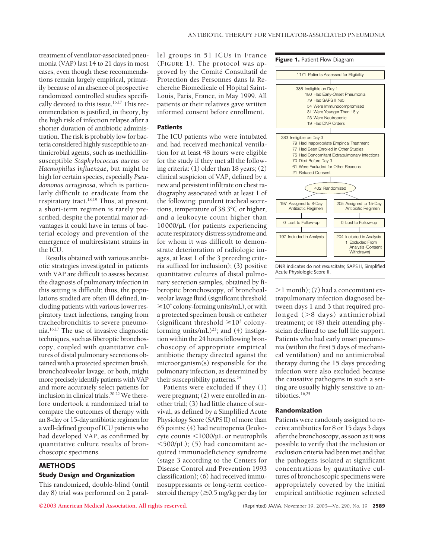treatment of ventilator-associated pneumonia (VAP) last 14 to 21 days in most cases, even though these recommendations remain largely empirical, primarily because of an absence of prospective randomized controlled studies specifically devoted to this issue.<sup>16,17</sup> This recommendation is justified, in theory, by the high risk of infection relapse after a shorter duration of antibiotic administration. The risk is probably low for bacteria considered highly susceptible to antimicrobial agents, such as methicillinsusceptible *Staphylococcus aureus* or *Haemophilus influenzae*, but might be high for certain species, especially *Pseudomonas aeruginosa*, which is particularly difficult to eradicate from the respiratory tract.<sup>18,19</sup> Thus, at present, a short-term regimen is rarely prescribed, despite the potential major advantages it could have in terms of bacterial ecology and prevention of the emergence of multiresistant strains in the ICU.

Results obtained with various antibiotic strategies investigated in patients with VAP are difficult to assess because the diagnosis of pulmonary infection in this setting is difficult; thus, the populations studied are often ill defined, including patients with various lower respiratory tract infections, ranging from tracheobronchitis to severe pneumonia.16,17 The use of invasive diagnostic techniques, such as fiberoptic bronchoscopy, coupled with quantitative cultures of distal pulmonary secretions obtained with a protected specimen brush, bronchoalveolar lavage, or both, might more precisely identify patients with VAP and more accurately select patients for inclusion in clinical trials.<sup>20-22</sup> We therefore undertook a randomized trial to compare the outcomes of therapy with an 8-day or 15-day antibiotic regimen for a well-defined group of ICU patients who had developed VAP, as confirmed by quantitative culture results of bronchoscopic specimens.

# **METHODS Study Design and Organization**

This randomized, double-blind (until day 8) trial was performed on 2 parallel groups in 51 ICUs in France (**FIGURE 1**). The protocol was approved by the Comité Consultatif de Protection des Personnes dans la Recherche Biomédicale of Hôpital Saint-Louis, Paris, France, in May 1999. All patients or their relatives gave written informed consent before enrollment.

# **Patients**

The ICU patients who were intubated and had received mechanical ventilation for at least 48 hours were eligible for the study if they met all the following criteria: (1) older than 18 years; (2) clinical suspicion of VAP, defined by a new and persistent infiltrate on chest radiography associated with at least 1 of the following: purulent tracheal secretions, temperature of 38.3°C or higher, and a leukocyte count higher than 10000/µL (for patients experiencing acute respiratory distress syndrome and for whom it was difficult to demonstrate deterioration of radiologic images, at least 1 of the 3 preceding criteria sufficed for inclusion); (3) positive quantitative cultures of distal pulmonary secretion samples, obtained by fiberoptic bronchoscopy, of bronchoalveolar lavage fluid (significant threshold  $\geq$ 10<sup>4</sup> colony-forming units/mL), or with a protected specimen brush or catheter (significant threshold  $\geq 10^3$  colonyforming units/mL)<sup>23</sup>; and (4) instigation within the 24 hours following bronchoscopy of appropriate empirical antibiotic therapy directed against the microorganism(s) responsible for the pulmonary infection, as determined by their susceptibility patterns.<sup>24</sup>

Patients were excluded if they (1) were pregnant; (2) were enrolled in another trial; (3) had little chance of survival, as defined by a Simplified Acute Physiology Score (SAPS II) of more than 65 points; (4) had neutropenia (leukocyte counts  $\langle 1000/\mu L \rangle$  or neutrophils  $<$ 500/µL); (5) had concomitant acquired immunodeficiency syndrome (stage 3 according to the Centers for Disease Control and Prevention 1993 classification); (6) had received immunosuppressants or long-term corticosteroid therapy ( $\geq$ 0.5 mg/kg per day for

**Figure 1.** Patient Flow Diagram



DNR indicates do not resuscitate; SAPS II, Simplified Acute Physiologic Score II.

 $>1$  month); (7) had a concomitant extrapulmonary infection diagnosed between days 1 and 3 that required prolonged  $(>8$  days) antimicrobial treatment; or (8) their attending physician declined to use full life support. Patients who had early onset pneumonia (within the first 5 days of mechanical ventilation) and no antimicrobial therapy during the 15 days preceding infection were also excluded because the causative pathogens in such a setting are usually highly sensitive to antibiotics.16,25

## **Randomization**

Patients were randomly assigned to receive antibiotics for 8 or 15 days 3 days after the bronchoscopy, as soon as it was possible to verify that the inclusion or exclusion criteria had been met and that the pathogens isolated at significant concentrations by quantitative cultures of bronchoscopic specimens were appropriately covered by the initial empirical antibiotic regimen selected

**©2003 American Medical Association. All rights reserved.** (Reprinted) JAMA, November 19, 2003—Vol 290, No. 19 **2589**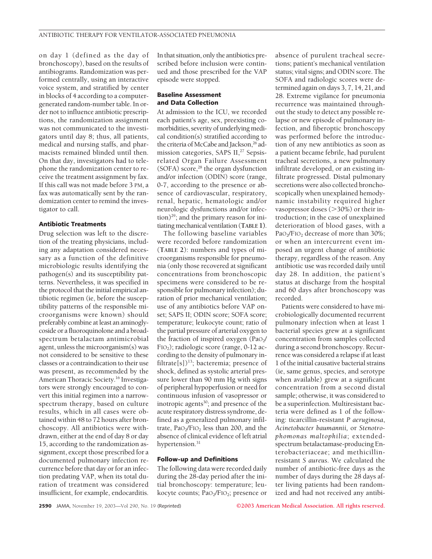on day 1 (defined as the day of bronchoscopy), based on the results of antibiograms. Randomization was performed centrally, using an interactive voice system, and stratified by center in blocks of 4 according to a computergenerated random-number table. In order not to influence antibiotic prescriptions, the randomization assignment was not communicated to the investigators until day 8; thus, all patients, medical and nursing staffs, and pharmacists remained blinded until then. On that day, investigators had to telephone the randomization center to receive the treatment assignment by fax. If this call was not made before 3 PM, a fax was automatically sent by the randomization center to remind the investigator to call.

## **Antibiotic Treatments**

Drug selection was left to the discretion of the treating physicians, including any adaptation considered necessary as a function of the definitive microbiologic results identifying the pathogen(s) and its susceptibility patterns. Nevertheless, it was specified in the protocol that the initial empirical antibiotic regimen (ie, before the susceptibility patterns of the responsible microorganisms were known) should preferably combine at least an aminoglycoside or a fluoroquinolone and a broadspectrum betalactam antimicrobial agent, unless the microorganism(s) was not considered to be sensitive to these classes or a contraindication to their use was present, as recommended by the American Thoracic Society.16 Investigators were strongly encouraged to convert this initial regimen into a narrowspectrum therapy, based on culture results, which in all cases were obtained within 48 to 72 hours after bronchoscopy. All antibiotics were withdrawn, either at the end of day 8 or day 15, according to the randomization assignment, except those prescribed for a documented pulmonary infection recurrence before that day or for an infection predating VAP, when its total duration of treatment was considered insufficient, for example, endocarditis.

In that situation, only the antibiotics prescribed before inclusion were continued and those prescribed for the VAP episode were stopped.

## **Baseline Assessment and Data Collection**

At admission to the ICU, we recorded each patient's age, sex, preexisting comorbidities, severity of underlying medical condition(s) stratified according to the criteria of McCabe and Jackson,<sup>26</sup> admission categories, SAPS II,<sup>27</sup> Sepsisrelated Organ Failure Assessment (SOFA) score,<sup>28</sup> the organ dysfunction and/or infection (ODIN) score (range, 0-7, according to the presence or absence of cardiovascular, respiratory, renal, hepatic, hematologic and/or neurologic dysfunctions and/or infection)29; and the primary reason for initiating mechanical ventilation (**TABLE 1)**.

The following baseline variables were recorded before randomization (**TABLE 2**): numbers and types of microorganisms responsible for pneumonia (only those recovered at significant concentrations from bronchoscopic specimens were considered to be responsible for pulmonary infection); duration of prior mechanical ventilation; use of any antibiotics before VAP onset; SAPS II; ODIN score; SOFA score; temperature; leukocyte count; ratio of the partial pressure of arterial oxygen to the fraction of inspired oxygen  $(PaO<sub>2</sub>$ / FIO2); radiologic score (range, 0-12 according to the density of pulmonary infiltrate[s])<sup>13</sup>; bacteremia; presence of shock, defined as systolic arterial pressure lower than 90 mm Hg with signs of peripheral hypoperfusion or need for continuous infusion of vasopressor or inotropic agents<sup>30</sup>; and presence of the acute respiratory distress syndrome, defined as a generalized pulmonary infiltrate,  $PaO<sub>2</sub>/FIO<sub>2</sub>$  less than 200, and the absence of clinical evidence of left atrial hypertension.<sup>31</sup>

## **Follow-up and Definitions**

The following data were recorded daily during the 28-day period after the initial bronchoscopy: temperature; leukocyte counts; PaO<sub>2</sub>/FIO<sub>2</sub>; presence or absence of purulent tracheal secretions; patient's mechanical ventilation status; vital signs; and ODIN score. The SOFA and radiologic scores were determined again on days 3, 7, 14, 21, and 28. Extreme vigilance for pneumonia recurrence was maintained throughout the study to detect any possible relapse or new episode of pulmonary infection, and fiberoptic bronchoscopy was performed before the introduction of any new antibiotics as soon as a patient became febrile, had purulent tracheal secretions, a new pulmonary infiltrate developed, or an existing infiltrate progressed. Distal pulmonary secretions were also collected bronchoscopically when unexplained hemodynamic instability required higher vasopressor doses (>30%) or their introduction; in the case of unexplained deterioration of blood gases, with a PaO<sub>2</sub>/FIO<sub>2</sub> decrease of more than 30%; or when an intercurrent event imposed an urgent change of antibiotic therapy, regardless of the reason. Any antibiotic use was recorded daily until day 28. In addition, the patient's status at discharge from the hospital and 60 days after bronchoscopy was recorded.

Patients were considered to have microbiologically documented recurrent pulmonary infection when at least 1 bacterial species grew at a significant concentration from samples collected during a second bronchoscopy. Recurrence was considered a relapse if at least 1 of the initial causative bacterial strains (ie, same genus, species, and serotype when available) grew at a significant concentration from a second distal sample; otherwise, it was considered to be a superinfection. Multiresistant bacteria were defined as 1 of the following: ticarcillin-resistant *P aeruginosa*, *Acinetobacter baumannii,* or *Stenotrophomonas maltophilia*; extendedspectrum betalactamase-producing Enterobacteriaceae; and methicillinresistant *S aureus*. We calculated the number of antibiotic-free days as the number of days during the 28 days after living patients had been randomized and had not received any antibi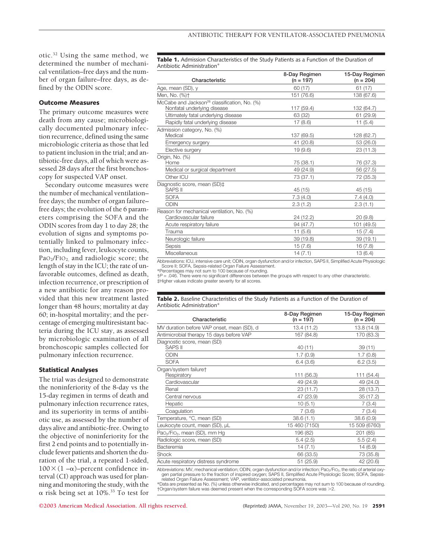otic.32 Using the same method, we determined the number of mechanical ventilation–free days and the number of organ failure–free days, as defined by the ODIN score.

## **Outcome Measures**

The primary outcome measures were death from any cause; microbiologically documented pulmonary infection recurrence, defined using the same microbiologic criteria as those that led to patient inclusion in the trial; and antibiotic-free days, all of which were assessed 28 days after the first bronchoscopy for suspected VAP onset.

Secondary outcome measures were the number of mechanical ventilation– free days; the number of organ failure– free days; the evolution of the 6 parameters comprising the SOFA and the ODIN scores from day 1 to day 28; the evolution of signs and symptoms potentially linked to pulmonary infection, including fever, leukocyte counts,  $PaO<sub>2</sub>/FIO<sub>2</sub>$  and radiologic score; the length of stay in the ICU; the rate of unfavorable outcomes, defined as death, infection recurrence, or prescription of a new antibiotic for any reason provided that this new treatment lasted longer than 48 hours; mortality at day 60; in-hospital mortality; and the percentage of emerging multiresistant bacteria during the ICU stay, as assessed by microbiologic examination of all bronchoscopic samples collected for pulmonary infection recurrence.

## **Statistical Analyses**

The trial was designed to demonstrate the noninferiority of the 8-day vs the 15-day regimen in terms of death and pulmonary infection recurrence rates, and its superiority in terms of antibiotic use, as assessed by the number of days alive and antibiotic-free. Owing to the objective of noninferiority for the first 2 end points and to potentially include fewer patients and shorten the duration of the trial, a repeated 1-sided,  $100\times(1-\alpha)$ –percent confidence interval (CI) approach was used for planning and monitoring the study, with the  $\alpha$  risk being set at 10%.<sup>33</sup> To test for

**Table 1.** Admission Characteristics of the Study Patients as a Function of the Duration of Antibiotic Administration\*

| Characteristic                                                                          | 8-Day Regimen<br>$(n = 197)$ | 15-Day Regimen<br>$(n = 204)$ |
|-----------------------------------------------------------------------------------------|------------------------------|-------------------------------|
| Age, mean (SD), y                                                                       | 60 (17)                      | 61(17)                        |
| Men, No. (%)+                                                                           | 151 (76.6)                   | 138 (67.6)                    |
| McCabe and Jackson <sup>26</sup> classification, No. (%)<br>Nonfatal underlying disease | 117 (59.4)                   | 132 (64.7)                    |
| Ultimately fatal underlying disease                                                     | 63 (32)                      | 61 (29.9)                     |
| Rapidly fatal underlying disease                                                        | 17(8.6)                      | 11(5.4)                       |
| Admission category, No. (%)<br>Medical                                                  | 137 (69.5)                   | 128 (62.7)                    |
| Emergency surgery                                                                       | 41 (20.8)                    | 53 (26.0)                     |
| Elective surgery                                                                        | 19(9.6)                      | 23 (11.3)                     |
| Origin, No. (%)<br>Home                                                                 | 75 (38.1)                    | 76 (37.3)                     |
| Medical or surgical department                                                          | 49 (24.9)                    | 56 (27.5)                     |
| Other ICU                                                                               | 73 (37.1)                    | 72 (35.3)                     |
| Diagnostic score, mean (SD)‡<br><b>SAPS II</b>                                          | 45 (15)                      | 45 (15)                       |
| <b>SOFA</b>                                                                             | 7.3(4.0)                     | 7.4 (4.0)                     |
| <b>ODIN</b>                                                                             | 2.3(1.2)                     | 2.3(1.1)                      |
| Reason for mechanical ventilation, No. (%)<br>Cardiovascular failure                    | 24 (12.2)                    | 20(9.8)                       |
| Acute respiratory failure                                                               | 94 (47.7)                    | 101 (49.5)                    |
| Trauma                                                                                  | 11(5.6)                      | 15(7.4)                       |
| Neurologic failure                                                                      | 39 (19.8)                    | 39 (19.1)                     |
| Sepsis                                                                                  | 15(7.6)                      | 16(7.8)                       |
| Miscellaneous                                                                           | 14(7.1)                      | 13(6.4)                       |
|                                                                                         |                              |                               |

Abbreviations: ICU, intensive care unit; ODIN, organ dysfunction and/or infection, SAPS II, Simplified Acute Physiologic Score II; SOFA, Sepsis-related Organ Failure Assessment.

\*Percentages may not sum to 100 because of rounding. †*P* = .046. There were no significant differences between the groups with respect to any other characteristic.

‡Higher values indicate greater severity for all scores.

#### **Table 2.** Baseline Characteristics of the Study Patients as a Function of the Duration of Antibiotic Administration<sup>\*</sup>

| Characteristic                                        | 8-Day Regimen<br>$(n = 197)$ | 15-Day Regimen<br>$(n = 204)$ |
|-------------------------------------------------------|------------------------------|-------------------------------|
| MV duration before VAP onset, mean (SD), d            | 13.4 (11.2)                  | 13.8 (14.9)                   |
| Antimicrobial therapy 15 days before VAP              | 167 (84.8)                   | 170 (83.3)                    |
| Diagnostic score, mean (SD)<br><b>SAPS II</b>         | 40 (11)                      | 39(11)                        |
| <b>ODIN</b>                                           | 1.7(0.9)                     | 1.7(0.8)                      |
| <b>SOFA</b>                                           | 6.4(3.6)                     | 6.2(3.5)                      |
| Organ/system failure+<br>Respiratory                  | 111 (56.3)                   | 111 (54.4)                    |
| Cardiovascular                                        | 49 (24.9)                    | 49 (24.0)                     |
| Renal                                                 | 23 (11.7)                    | 28 (13.7)                     |
| Central nervous                                       | 47 (23.9)                    | 35(17.2)                      |
| Hepatic                                               | 10(5.1)                      | 7(3.4)                        |
| Coaqulation                                           | 7(3.6)                       | 7(3.4)                        |
| Temperature, °C, mean (SD)                            | 38.6(1.1)                    | 38.6(0.9)                     |
| Leukocyte count, mean (SD), µL                        | 15 460 (7150)                | 15 509 (6760)                 |
| Pao <sub>2</sub> /Fio <sub>2</sub> , mean (SD), mm Hg | 196 (82)                     | 201 (85)                      |
| Radiologic score, mean (SD)                           | 5.4(2.5)                     | 5.5(2.4)                      |
| Bacteremia                                            | 14(7.1)                      | 14 (6.9)                      |
| Shock                                                 | 66 (33.5)                    | 73 (35.8)                     |
| Acute respiratory distress syndrome                   | 51 (25.9)                    | 42 (20.6)                     |
|                                                       |                              |                               |

Abbreviations: MV, mechanical ventilation; ODIN, organ dysfunction and/or infection; PaO<sub>2</sub>/FIO<sub>2</sub>, the ratio of arterial oxygen partial pressure to the fraction of inspired oxygen; SAPS II, Simplified Acute Physiologic Score; SOFA, Sepsis-related Organ Failure Assessment; VAP, ventilator-associated pneumonia.

\*Data are presented as No. (%) unless otherwise indicated, and percentages may not sum to 100 because of rounding. †Organ/system failure was deemed present when the corresponding SOFA score was 2.

**©2003 American Medical Association. All rights reserved.** (Reprinted) JAMA, November 19, 2003—Vol 290, No. 19 **2591**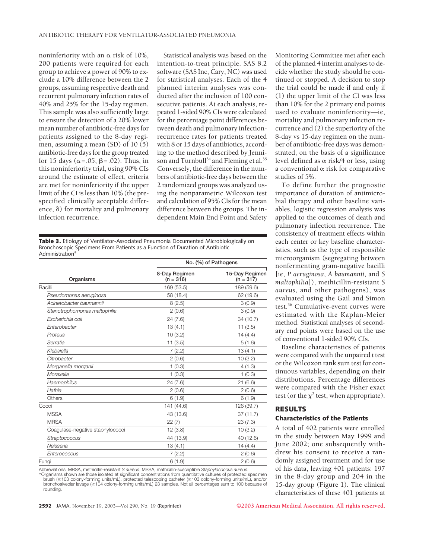noninferiority with an  $\alpha$  risk of 10%, 200 patients were required for each group to achieve a power of 90% to exclude a 10% difference between the 2 groups, assuming respective death and recurrent pulmonary infection rates of 40% and 25% for the 15-day regimen. This sample was also sufficiently large to ensure the detection of a 20% lower mean number of antibiotic-free days for patients assigned to the 8-day regimen, assuming a mean (SD) of 10 (5) antibiotic-free days for the group treated for 15 days ( $\alpha$ =.05,  $\beta$ =.02). Thus, in this noninferiority trial, using 90% CIs around the estimate of effect, criteria are met for noninferiority if the upper limit of the CI is less than 10% (the prespecified clinically acceptable difference,  $\delta$ ) for mortality and pulmonary infection recurrence.

Statistical analysis was based on the intention-to-treat principle. SAS 8.2 software (SAS Inc, Cary, NC) was used for statistical analyses. Each of the 4 planned interim analyses was conducted after the inclusion of 100 consecutive patients. At each analysis, repeated 1-sided 90% CIs were calculated for the percentage point differences between death and pulmonary infectionrecurrence rates for patients treated with 8 or 15 days of antibiotics, according to the method described by Jennison and Turnbull<sup>34</sup> and Fleming et al.<sup>35</sup> Conversely, the difference in the numbers of antibiotic-free days between the 2 randomized groups was analyzed using the nonparametric Wilcoxon test and calculation of 95% CIs for the mean difference between the groups. The independent Main End Point and Safety

**Table 3.** Etiology of Ventilator-Associated Pneumonia Documented Microbiologically on Bronchoscopic Specimens From Patients as a Function of Duration of Antibiotic Administration<sup>\*</sup>

| No. (%) of Pathogens         |                               |  |
|------------------------------|-------------------------------|--|
| 8-Day Regimen<br>$(n = 316)$ | 15-Day Regimen<br>$(n = 317)$ |  |
| 169 (53.5)                   | 189 (59.6)                    |  |
| 58 (18.4)                    | 62 (19.6)                     |  |
| 8(2.5)                       | 3(0.9)                        |  |
| 2(0.6)                       | 3(0.9)                        |  |
| 24(7.6)                      | 34 (10.7)                     |  |
| 13(4.1)                      | 11(3.5)                       |  |
| 10(3.2)                      | 14(4.4)                       |  |
| 11(3.5)                      | 5(1.6)                        |  |
| 7(2.2)                       | 13(4.1)                       |  |
| 2(0.6)                       | 10(3.2)                       |  |
| 1(0.3)                       | 4(1.3)                        |  |
| 1(0.3)                       | 1(0.3)                        |  |
| 24(7.6)                      | 21(6.6)                       |  |
| 2(0.6)                       | 2(0.6)                        |  |
| 6(1.9)                       | 6(1.9)                        |  |
| 141 (44.6)                   | 126 (39.7)                    |  |
| 43 (13.6)                    | 37(11.7)                      |  |
| 22(7)                        | 23(7.3)                       |  |
| 12(3.8)                      | 10(3.2)                       |  |
| 44 (13.9)                    | 40 (12.6)                     |  |
| 13(4.1)                      | 14(4.4)                       |  |
| 7(2.2)                       | 2(0.6)                        |  |
| 6(1.9)                       | 2(0.6)                        |  |
|                              |                               |  |

Abbreviations: MRSA, methicillin-resistant *S aureus*; MSSA, methicillin-susceptible *Staphylococcus aureus*. \*Organisms shown are those isolated at significant concentrations from quantitative cultures of protected specimen brush (≥103 colony-forming units/mL), protected telescoping catheter (≥103 colony-forming units/mL), and/or<br>bronchoalveolar lavage (≥104 colony-forming units/mL) 23 samples. Not all percentages sum to 100 because of rounding.

Monitoring Committee met after each of the planned 4 interim analyses to decide whether the study should be continued or stopped. A decision to stop the trial could be made if and only if (1) the upper limit of the CI was less than 10% for the 2 primary end points used to evaluate noninferiority—ie, mortality and pulmonary infection recurrence and (2) the superiority of the 8-day vs 15-day regimen on the number of antibiotic-free days was demonstrated, on the basis of a significance level defined as  $\alpha$  risk/4 or less, using a conventional  $\alpha$  risk for comparative studies of 5%.

To define further the prognostic importance of duration of antimicrobial therapy and other baseline variables, logistic regression analysis was applied to the outcomes of death and pulmonary infection recurrence. The consistency of treatment effects within each center or key baseline characteristics, such as the type of responsible microorganism (segregating between nonfermenting gram-negative bacilli [ie, *P aeruginosa*, *A baumannii*, and *S maltophilia*]), methicillin-resistant *S aureus*, and other pathogens), was evaluated using the Gail and Simon test.36 Cumulative-event curves were estimated with the Kaplan-Meier method. Statistical analyses of secondary end points were based on the use of conventional 1-sided 90% CIs.

Baseline characteristics of patients were compared with the unpaired *t* test or the Wilcoxon rank sum test for continuous variables, depending on their distributions. Percentage differences were compared with the Fisher exact test (or the  $\chi^2$  test, when appropriate).

# **RESULTS**

# **Characteristics of the Patients**

A total of 402 patients were enrolled in the study between May 1999 and June 2002; one subsequently withdrew his consent to receive a randomly assigned treatment and for use of his data, leaving 401 patients: 197 in the 8-day group and 204 in the 15-day group (Figure 1). The clinical characteristics of these 401 patients at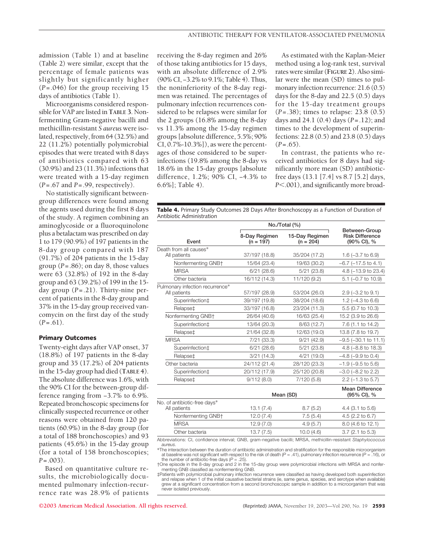admission (Table 1) and at baseline (Table 2) were similar, except that the percentage of female patients was slightly but significantly higher (*P*=.046) for the group receiving 15 days of antibiotics (Table 1).

Microorganisms considered responsible for VAP are listed in **TABLE 3**. Nonfermenting Gram-negative bacilli and methicillin-resistant *S aureus* were isolated, respectively, from 64 (32.5%) and 22 (11.2%) potentially polymicrobial episodes that were treated with 8 days of antibiotics compared with 63 (30.9%) and 23 (11.3%) infections that were treated with a 15-day regimen (*P*=.67 and *P*=.99, respectively).

No statistically significant betweengroup differences were found among the agents used during the first 8 days of the study. A regimen combining an aminoglycoside or a fluoroquinolone plus a betalactam was prescribed on day 1 to 179 (90.9%) of 197 patients in the 8-day group compared with 187 (91.7%) of 204 patients in the 15-day group (*P*=.86); on day 8, those values were 63 (32.8%) of 192 in the 8-day group and 63 (39.2%) of 199 in the 15 day group (*P*=.21). Thirty-nine percent of patients in the 8-day group and 37% in the 15-day group received vancomycin on the first day of the study  $(P=.61)$ .

# **Primary Outcomes**

Twenty-eight days after VAP onset, 37 (18.8%) of 197 patients in the 8-day group and 35 (17.2%) of 204 patients in the 15-day group had died (**TABLE 4**). The absolute difference was 1.6%, with the 90% CI for the between-group difference ranging from −3.7% to 6.9%. Repeated bronchoscopic specimens for clinically suspected recurrence or other reasons were obtained from 120 patients (60.9%) in the 8-day group (for a total of 188 bronchoscopies) and 93 patients (45.6%) in the 15-day group (for a total of 158 bronchoscopies; *P*=.003).

Based on quantitative culture results, the microbiologically documented pulmonary infection-recurrence rate was 28.9% of patients receiving the 8-day regimen and 26% of those taking antibiotics for 15 days, with an absolute difference of 2.9% (90% CI, −3.2% to 9.1%; Table 4). Thus, the noninferiority of the 8-day regimen was retained. The percentages of pulmonary infection recurrences considered to be relapses were similar for the 2 groups (16.8% among the 8-day vs 11.3% among the 15-day regimen groups [absolute difference, 5.5%; 90% CI, 0.7%-10.3%]), as were the percentages of those considered to be superinfections (19.8% among the 8-day vs 18.6% in the 15-day groups [absolute difference, 1.2%; 90% CI, −4.3% to 6.6%]; Table 4).

As estimated with the Kaplan-Meier method using a log-rank test, survival rates were similar (**FIGURE 2**). Also similar were the mean (SD) times to pulmonary infection recurrence: 21.6 (0.5) days for the 8-day and 22.5 (0.5) days for the 15-day treatment groups (*P*=.38); times to relapse: 23.8 (0.5) days and 24.1 (0.4) days (*P*=.12); and times to the development of superinfections: 22.8 (0.5) and 23.8 (0.5) days  $(P=.65)$ .

In contrast, the patients who received antibiotics for 8 days had significantly more mean (SD) antibioticfree days (13.1 [7.4] vs 8.7 [5.2] days, *P*.001), and significantly more broad-

**Table 4.** Primary Study Outcomes 28 Days After Bronchoscopy as a Function of Duration of Antibiotic Administration

|                                                 | No./Total (%)                |                               |                                                        |  |
|-------------------------------------------------|------------------------------|-------------------------------|--------------------------------------------------------|--|
| Event                                           | 8-Day Regimen<br>$(n = 197)$ | 15-Day Regimen<br>$(n = 204)$ | Between-Group<br><b>Risk Difference</b><br>(90% CI), % |  |
| Death from all causes*                          |                              |                               |                                                        |  |
| All patients                                    | 37/197 (18.8)                | 35/204 (17.2)                 | 1.6 $(-3.7)$ to 6.9)                                   |  |
| Nonfermenting GNB+                              | 15/64 (23.4)                 | 19/63 (30.2)                  | $-6.7$ ( $-17.5$ to 4.1)                               |  |
| <b>MRSA</b>                                     | 6/21(28.6)                   | $5/21$ (23.8)                 | 4.8 $(-13.9$ to 23.4)                                  |  |
| Other bacteria                                  | 16/112 (14.3)                | 11/120 (9.2)                  | 5.1 (-0.7 to 10.9)                                     |  |
| Pulmonary infection recurrence*<br>All patients | 57/197 (28.9)                | 53/204 (26.0)                 | $2.9$ ( $-3.2$ to $9.1$ )                              |  |
| Superinfection <sup>+</sup>                     | 39/197 (19.8)                | 38/204 (18.6)                 | 1.2 $(-4.3 \text{ to } 6.6)$                           |  |
| Relapse‡                                        | 33/197 (16.8)                | 23/204 (11.3)                 | 5.5 (0.7 to 10.3)                                      |  |
| Nonfermenting GNB+                              | 26/64 (40.6)                 | 16/63 (25.4)                  | 15.2 (3.9 to 26.6)                                     |  |
| Superinfection <sup>+</sup>                     | 13/64 (20.3)                 | 8/63 (12.7)                   | 7.6 (1.1 to 14.2)                                      |  |
| Relapse‡                                        | 21/64 (32.8)                 | 12/63 (19.0)                  | 13.8 (7.8 to 19.7)                                     |  |
| <b>MRSA</b>                                     | $7/21$ (33.3)                | 9/21(42.9)                    | $-9.5$ ( $-30.1$ to 11.1)                              |  |
| Superinfection‡                                 | 6/21(28.6)                   | $5/21$ (23.8)                 | 4.8 $(-8.8 \text{ to } 18.3)$                          |  |
| Relapse‡                                        | 3/21(14.3)                   | 4/21(19.0)                    | $-4.8$ ( $-9.9$ to 0.4)                                |  |
| Other bacteria                                  | 24/112 (21.4)                | 28/120 (23.3)                 | $-1.9$ ( $-9.5$ to 5.6)                                |  |
| Superinfection <sup>+</sup>                     | 20/112 (17.9)                | 25/120 (20.8)                 | $-3.0$ ( $-8.2$ to 2.2)                                |  |
| Relapse‡                                        | 9/112(8.0)                   | 7/120(5.8)                    | $2.2$ ( $-1.3$ to 5.7)                                 |  |
|                                                 |                              |                               | Mean Difference                                        |  |

|                                              | Mean (SD) |           | <b>Mean Difference</b><br>(95% CI), % |
|----------------------------------------------|-----------|-----------|---------------------------------------|
| No. of antibiotic-free days*<br>All patients | 13.1(7.4) | 8.7(5.2)  | $4.4$ (3.1 to 5.6)                    |
| Nonfermenting GNB+                           | 12.0(7.4) | 7.5(5.4)  | 4.5 (2.2 to 6.7)                      |
| <b>MRSA</b>                                  | 12.9(7.0) | 4.9(5.7)  | 8.0 (4.6 to 12.1)                     |
| Other bacteria                               | 13.7(7.5) | 10.0(4.6) | $3.7(2.1 \text{ to } 5.3)$            |

Abbreviations: CI, confidence interval; GNB, gram-negative bacilli; MRSA, methicillin-resistant *Staphylococcus aureus.*

The interaction between the duration of antibiotic administration and stratification for the responsible microorganism at baseline was not significant with respect to the risk of death (*P* = .41), pulmonary infection recurrence (*P* = .16), or the number of antibiotic-free days  $(P = .25)$ .

†One episode in the 8-day group and 2 in the 15-day group were polymicrobial infections with MRSA and nonfermenting GNB classified as nonfermenting GNB.

‡Patients with polymicrobial pulmonary infection recurrence were classified as having developed both superinfection<br>and relapse when 1 of the initial causative bacterial strains (ie, same genus, species, and serotype when grew at a significant concentration from a second bronchoscopic sample in addition to a microorganism that was never isolated previously.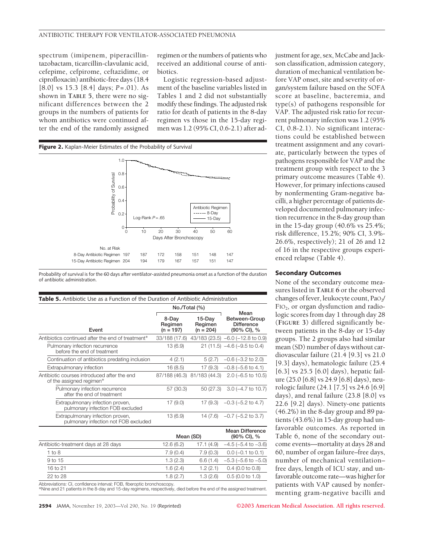spectrum (imipenem, piperacillintazobactam, ticarcillin-clavulanic acid, cefepime, cefpirome, ceftazidime, or ciprofloxacin) antibiotic-free days (18.4 [8.0] vs 15.3 [8.4] days; *P*=.01). As shown in **TABLE 5**, there were no significant differences between the 2 groups in the numbers of patients for whom antibiotics were continued after the end of the randomly assigned

regimen or the numbers of patients who received an additional course of antibiotics.

Logistic regression-based adjustment of the baseline variables listed in Tables 1 and 2 did not substantially modify these findings. The adjusted risk ratio for death of patients in the 8-day regimen vs those in the 15-day regimen was 1.2 (95% CI, 0.6-2.1) after ad-



Probability of survival is for the 60 days after ventilator-assisted pneumonia onset as a function of the duration of antibiotic administration.

| <b>Table 5.</b> Antibiotic Use as a Function of the Duration of Antibiotic Administration |                                 |                                  |                                                           |
|-------------------------------------------------------------------------------------------|---------------------------------|----------------------------------|-----------------------------------------------------------|
|                                                                                           | $No./Total$ (%)                 |                                  |                                                           |
| Event                                                                                     | 8-Day<br>Regimen<br>$(n = 197)$ | 15-Day<br>Regimen<br>$(n = 204)$ | Mean<br>Between-Group<br><b>Difference</b><br>(90% CI), % |
| Antibiotics continued after the end of treatment*                                         | 33/188 (17.6)                   |                                  | 43/183 (23.5) -6.0 (-12.8 to 0.9)                         |
| Pulmonary infection recurrence<br>before the end of treatment                             | 13 (6.9)                        |                                  | $21(11.5) -4.6(-9.5)$ to 0.4                              |
| Continuation of antibiotics predating inclusion                                           | 4(2.1)                          | 5(2.7)                           | $-0.6$ ( $-3.2$ to 2.0)                                   |
| Extrapulmonary infection                                                                  | 16 (8.5)                        | 17 (9.3)                         | $-0.8$ ( $-5.6$ to 4.1)                                   |
| Antibiotic courses introduced after the end<br>of the assigned regimen*                   |                                 | 87/188 (46.3) 81/183 (44.3)      | $2.0$ (-6.5 to 10.5)                                      |
| Pulmonary infection recurrence<br>after the end of treatment                              | 57 (30.3)                       | 50 (27.3)                        | $3.0$ (-4.7 to 10.7)                                      |
| Extrapulmonary infection proven,<br>pulmonary infection FOB excluded                      | 17 (9.0)                        | 17 (9.3)                         | $-0.3$ ( $-5.2$ to 4.7)                                   |
| Extrapulmonary infection proven,<br>pulmonary infection not FOB excluded                  | 13 (6.9)                        | 14 (7.6)                         | $-0.7$ ( $-5.2$ to 3.7)                                   |

|                                                                       | Mean (SD) |           | <b>Mean Difference</b><br>$(90\% \text{ Cl})$ , $\%$ |
|-----------------------------------------------------------------------|-----------|-----------|------------------------------------------------------|
| Antibiotic-treatment days at 28 days                                  | 12.6(6.2) | 17.1(4.9) | $-4.5$ ( $-5.4$ to $-3.6$ )                          |
| 1 to 8                                                                | 7.9(0.4)  | 7.9(0.3)  | $0.0$ (-0.1 to 0.1)                                  |
| 9 to 15                                                               | 1.3(2.3)  | 6.6(1.4)  | $-5.3$ ( $-5.6$ to $-5.0$ )                          |
| 16 to 21                                                              | 1.6(2.4)  | 1.2(2.1)  | $0.4$ (0.0 to 0.8)                                   |
| 22 to 28                                                              | 1.8(2.7)  | 1.3(2.6)  | $0.5(0.0 t_0 1.0)$                                   |
| Abbreviations: CI, confidence interval; FOB, fiberoptic bronchoscopy. |           |           |                                                      |

\*Nine and 21 patients in the 8-day and 15-day regimens, respectively, died before the end of the assigned treatment.

justment for age, sex, McCabe and Jackson classification, admission category, duration of mechanical ventilation before VAP onset, site and severity of organ/system failure based on the SOFA score at baseline, bacteremia, and type(s) of pathogens responsible for VAP. The adjusted risk ratio for recurrent pulmonary infection was 1.2 (95% CI, 0.8-2.1). No significant interactions could be established between treatment assignment and any covariate, particularly between the types of pathogens responsible for VAP and the treatment group with respect to the 3 primary outcome measures (Table 4). However, for primary infections caused by nonfermenting Gram-negative bacilli, a higher percentage of patients developed documented pulmonary infection recurrence in the 8-day group than in the 15-day group (40.6% vs 25.4%; risk difference, 15.2%; 90% CI, 3.9%- 26.6%, respectively); 21 of 26 and 12 of 16 in the respective groups experienced relapse (Table 4).

## **Secondary Outcomes**

None of the secondary outcome measures listed in **TABLE 6** or the observed changes of fever, leukocyte count, PaO<sub>2</sub>/ FIO2, or organ dysfunction and radiologic scores from day 1 through day 28 (**FIGURE 3**) differed significantly between patients in the 8-day or 15-day groups. The 2 groups also had similar mean (SD) number of days without cardiovascular failure (21.4 [9.3] vs 21.0 [9.3] days), hematologic failure (25.4 [6.3] vs 25.5 [6.0] days), hepatic failure (25.0 [6.8] vs 24.9 [6.8] days), neurologic failure (24.1 [7.5] vs 24.6 [6.9] days), and renal failure (23.8 [8.0] vs 22.6 [9.2] days). Ninety-one patients (46.2%) in the 8-day group and 89 patients (43.6%) in 15-day group had unfavorable outcomes. As reported in Table 6, none of the secondary outcome events—mortality at days 28 and 60, number of organ failure–free days, number of mechanical ventilation– free days, length of ICU stay, and unfavorable outcome rate—was higher for patients with VAP caused by nonfermenting gram-negative bacilli and

**2594** JAMA, November 19, 2003—Vol 290, No. 19 (Reprinted) **©2003 American Medical Association. All rights reserved.**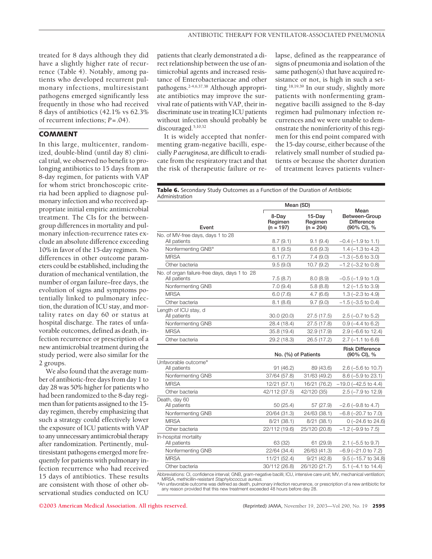treated for 8 days although they did have a slightly higher rate of recurrence (Table 4). Notably, among patients who developed recurrent pulmonary infections, multiresistant pathogens emerged significantly less frequently in those who had received 8 days of antibiotics (42.1% vs 62.3% of recurrent infections; *P*=.04).

# **COMMENT**

In this large, multicenter, randomized, double-blind (until day 8) clinical trial, we observed no benefit to prolonging antibiotics to 15 days from an 8-day regimen, for patients with VAP for whom strict bronchoscopic criteria had been applied to diagnose pulmonary infection and who received appropriate initial empiric antimicrobial treatment. The CIs for the betweengroup differences in mortality and pulmonary infection-recurrence rates exclude an absolute difference exceeding 10% in favor of the 15-day regimen. No differences in other outcome parameters could be established, including the duration of mechanical ventilation, the number of organ failure–free days, the evolution of signs and symptoms potentially linked to pulmonary infection, the duration of ICU stay, and mortality rates on day 60 or status at hospital discharge. The rates of unfavorable outcomes, defined as death, infection recurrence or prescription of a new antimicrobial treatment during the study period, were also similar for the 2 groups.

We also found that the average number of antibiotic-free days from day 1 to day 28 was 50% higher for patients who had been randomized to the 8-day regimen than for patients assigned to the 15 day regimen, thereby emphasizing that such a strategy could effectively lower the exposure of ICU patients with VAP to any unnecessary antimicrobial therapy after randomization. Pertinently, multiresistant pathogens emerged more frequently for patients with pulmonary infection recurrence who had received 15 days of antibiotics. These results are consistent with those of other observational studies conducted on ICU

patients that clearly demonstrated a direct relationship between the use of antimicrobial agents and increased resistance of Enterobacteriaceae and other pathogens.2-4,6,37,38 Although appropriate antibiotics may improve the survival rate of patients with VAP, their indiscriminate use in treating ICU patients without infection should probably be discouraged.<sup>5,10,32</sup>

It is widely accepted that nonfermenting gram-negative bacilli, especially *P aeruginosa*, are difficult to eradicate from the respiratory tract and that the risk of therapeutic failure or relapse, defined as the reappearance of signs of pneumonia and isolation of the same pathogen(s) that have acquired resistance or not, is high in such a setting.18,19,39 In our study, slightly more patients with nonfermenting gramnegative bacilli assigned to the 8-day regimen had pulmonary infection recurrences and we were unable to demonstrate the noninferiority of this regimen for this end point compared with the 15-day course, either because of the relatively small number of studied patients or because the shorter duration of treatment leaves patients vulner-

Table 6. Secondary Study Outcomes as a Function of the Duration of Antibiotic Administration

|                                                                                                                                                                                 | Mean (SD)                       |                                     |                                                           |
|---------------------------------------------------------------------------------------------------------------------------------------------------------------------------------|---------------------------------|-------------------------------------|-----------------------------------------------------------|
| Event                                                                                                                                                                           | 8-Day<br>Regimen<br>$(n = 197)$ | $15$ -Day<br>Regimen<br>$(n = 204)$ | Mean<br>Between-Group<br><b>Difference</b><br>(90% CI), % |
| No. of MV-free days, days 1 to 28<br>All patients                                                                                                                               | 8.7(9.1)                        | 9.1(9.4)                            | $-0.4$ ( $-1.9$ to 1.1)                                   |
| Nonfermenting GNB*                                                                                                                                                              | 8.1(9.5)                        | 6.6(9.3)                            | $1.4 (-1.3 to 4.2)$                                       |
| <b>MRSA</b>                                                                                                                                                                     | 6.1(7.7)                        | 7.4(9.0)                            | $-1.3$ ( $-5.6$ to 3.0)                                   |
| Other bacteria                                                                                                                                                                  | 9.5(9.0)                        | 10.7(9.2)                           | $-1.2$ ( $-3.2$ to 0.8)                                   |
| No. of organ failure-free days, days 1 to 28<br>All patients                                                                                                                    | 7.5(8.7)                        | 8.0(8.9)                            | $-0.5$ ( $-1.9$ to 1.0)                                   |
| Nonfermenting GNB                                                                                                                                                               | 7.0(9.4)                        | 5.8(8.8)                            | $1.2$ ( $-1.5$ to 3.9)                                    |
| <b>MRSA</b>                                                                                                                                                                     | 6.0(7.6)                        | 4.7(6.6)                            | 1.3 $(-2.3 \text{ to } 4.9)$                              |
| Other bacteria                                                                                                                                                                  | 8.1(8.6)                        | 9.7(9.0)                            | $-1.5$ ( $-3.5$ to 0.4)                                   |
| Length of ICU stay, d<br>All patients                                                                                                                                           | 30.0 (20.0)                     | 27.5(17.5)                          | $2.5$ (-0.7 to 5.2)                                       |
| Nonfermenting GNB                                                                                                                                                               | 28.4 (18.4)                     | 27.5(17.8)                          | $0.9(-4.4 \text{ to } 6.2)$                               |
| <b>MRSA</b>                                                                                                                                                                     | 35.8 (19.4)                     | 32.9 (17.9)                         | $2.9$ (-6.6 to 12.4)                                      |
| Other bacteria                                                                                                                                                                  | 29.2 (18.3)                     | 26.5 (17.2)                         | $2.7$ (-1.1 to 6.6)                                       |
|                                                                                                                                                                                 |                                 | No. (%) of Patients                 | <b>Risk Difference</b><br>(90% CI), %                     |
| Unfavorable outcome*<br>All patients                                                                                                                                            | 91(46.2)                        | 89 (43.6)                           | $2.6$ (-5.6 to 10.7)                                      |
| Nonfermenting GNB                                                                                                                                                               | 37/64 (57.8)                    | 31/63 (49.2)                        | $8.6$ (-5.9 to 23.1)                                      |
| <b>MRSA</b>                                                                                                                                                                     | 12/21 (57.1)                    | 16/21 (76.2)                        | $-19.0$ ( $-42.5$ to 4.4)                                 |
| Other bacteria                                                                                                                                                                  | 42/112 (37.5)                   | 42/120 (35)                         | 2.5 (-7.9 to 12.9)                                        |
| Death, day 60<br>All patients                                                                                                                                                   | 50 (25.4)                       | 57 (27.9)                           | $-2.6$ ( $-9.8$ to 4.7)                                   |
| Nonfermenting GNB                                                                                                                                                               | 20/64 (31.3)                    | 24/63 (38.1)                        | $-6.8$ ( $-20.7$ to $7.0$ )                               |
| <b>MRSA</b>                                                                                                                                                                     | 8/21(38.1)                      | 8/21(38.1)                          | $0$ (-24.6 to 24.6)                                       |
| Other bacteria                                                                                                                                                                  | 22/112 (19.6)                   | 25/120 (20.8)                       | $-1.2$ ( $-9.9$ to $7.5$ )                                |
| In-hospital mortality<br>All patients                                                                                                                                           | 63 (32)                         | 61 (29.9)                           | $2.1$ (-5.5 to 9.7)                                       |
| Nonfermenting GNB                                                                                                                                                               | 22/64 (34.4)                    | 26/63 (41.3)                        | $-6.9$ ( $-21.0$ to $7.2$ )                               |
| <b>MRSA</b>                                                                                                                                                                     | 11/21 (52.4)                    | 9/21(42.8)                          | $9.5$ ( $-15.7$ to 34.8)                                  |
| Other bacteria                                                                                                                                                                  | 30/112 (26.8)                   | 26/120 (21.7)                       | $5.1$ (-4.1 to 14.4)                                      |
| Abbreviations: CI, confidence interval; GNB, gram-negative bacilli; ICU, intensive care unit; MV, mechanical ventilation;<br>MRSA, methicillin-resistant Staphylococcus aureus. |                                 |                                     |                                                           |

\*An unfavorable outcome was defined as death, pulmonary infection recurrence, or prescription of a new antibiotic for any reason provided that this new treatment exceeded 48 hours before day 28.

**©2003 American Medical Association. All rights reserved.** (Reprinted) JAMA, November 19, 2003—Vol 290, No. 19 **2595**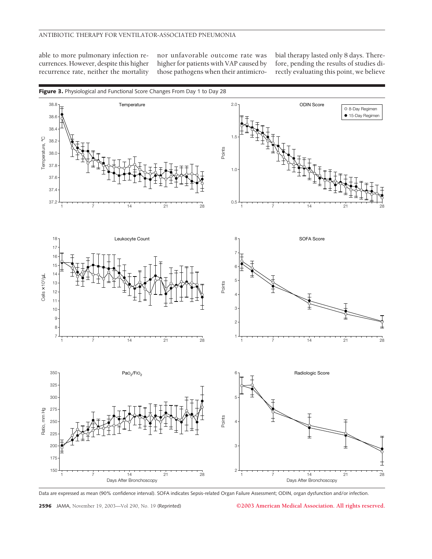able to more pulmonary infection recurrences. However, despite this higher recurrence rate, neither the mortality

nor unfavorable outcome rate was higher for patients with VAP caused by those pathogens when their antimicrobial therapy lasted only 8 days. Therefore, pending the results of studies directly evaluating this point, we believe



Data are expressed as mean (90% confidence interval). SOFA indicates Sepsis-related Organ Failure Assessment; ODIN, organ dysfunction and/or infection.

**2596** JAMA, November 19, 2003—Vol 290, No. 19 (Reprinted) **©2003 American Medical Association. All rights reserved.**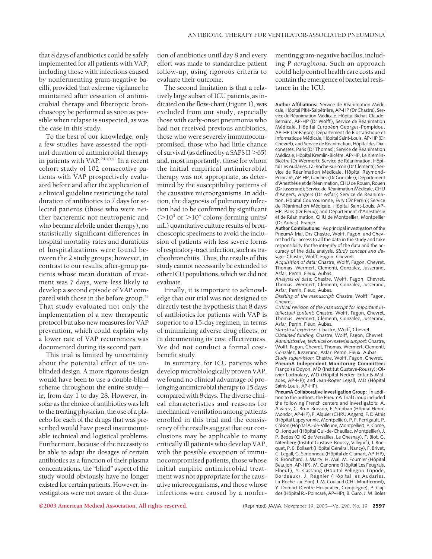that 8 days of antibiotics could be safely implemented for all patients with VAP, including those with infections caused by nonfermenting gram-negative bacilli, provided that extreme vigilance be maintained after cessation of antimicrobial therapy and fiberoptic bronchoscopy be performed as soon as possible when relapse is suspected, as was the case in this study.

To the best of our knowledge, only a few studies have assessed the optimal duration of antimicrobial therapy in patients with VAP.<sup>24,40,41</sup> In a recent cohort study of 102 consecutive patients with VAP prospectively evaluated before and after the application of a clinical guideline restricting the total duration of antibiotics to 7 days for selected patients (those who were neither bacteremic nor neutropenic and who became afebrile under therapy), no statistically significant differences in hospital mortality rates and durations of hospitalizations were found between the 2 study groups; however, in contrast to our results, after-group patients whose mean duration of treatment was 7 days, were less likely to develop a second episode of VAP compared with those in the before group.<sup>24</sup> That study evaluated not only the implementation of a new therapeutic protocol but also new measures for VAP prevention, which could explain why a lower rate of VAP recurrences was documented during its second part.

This trial is limited by uncertainty about the potential effect of its unblinded design. A more rigorous design would have been to use a double-blind scheme throughout the entire study ie, from day 1 to day 28. However, insofar as the choice of antibiotics was left to the treating physician, the use of a placebo for each of the drugs that was prescribed would have posed insurmountable technical and logistical problems. Furthermore, because of the necessity to be able to adapt the dosages of certain antibiotics as a function of their plasma concentrations, the "blind" aspect of the study would obviously have no longer existed for certain patients. However, investigators were not aware of the duration of antibiotics until day 8 and every effort was made to standardize patient follow-up, using rigorous criteria to evaluate their outcome.

The second limitation is that a relatively large subset of ICU patients, as indicated on the flow-chart (Figure 1), was excluded from our study, especially those with early-onset pneumonia who had not received previous antibiotics, those who were severely immunocompromised, those who had little chance of survival (as defined by a SAPS II  $>65$ ) and, most importantly, those for whom the initial empirical antimicrobial therapy was not appropriate, as determined by the susceptibility patterns of the causative microorganisms. In addition, the diagnosis of pulmonary infection had to be confirmed by significant  $(>10^3 \text{ or } >10^4 \text{ colony-forming units})$ mL) quantitative culture results of bronchoscopic specimens to avoid the inclusion of patients with less severe forms of respiratory-tract infection, such as tracheobronchitis. Thus, the results of this study cannot necessarily be extended to other ICU populations, which we did not evaluate.

Finally, it is important to acknowledge that our trial was not designed to directly test the hypothesis that 8 days of antibiotics for patients with VAP is superior to a 15-day regimen, in terms of minimizing adverse drug effects, or in documenting its cost effectiveness. We did not conduct a formal costbenefit study.

In summary, for ICU patients who develop microbiologically proven VAP, we found no clinical advantage of prolonging antimicrobial therapy to 15 days compared with 8 days. The diverse clinical characteristics and reasons for mechanical ventilation among patients enrolled in this trial and the consistency of the results suggest that our conclusions may be applicable to many critically ill patients who develop VAP, with the possible exception of immunocompromised patients, those whose initial empiric antimicrobial treatment was not appropriate for the causative microorganisms, and those whose infections were caused by a nonfermenting gram-negative bacillus, including *P aeruginosa*. Such an approach could help control health care costs and contain the emergence of bacterial resistance in the ICU.

Author Affiliations: Service de Réanimation Médicale, Hôpital Pitié-Salpêtrière, AP-HP (Dr Chastre), Service de Réanimation Médicale, Hôpital Bichat-Claude-Bernard, AP-HP (Dr Wolff), Service de Réanimation Médicale, Hôpital Européen Georges-Pompidou, AP-HP (Dr Fagon), Département de Biostatistique et Informatique Médicale, Hôpital Saint-Louis, AP-HP (Dr Chevret), and Service de Réanimation, Hôpital des Diaconesses, Paris (Dr Thomas); Service de Réanimation Médicale, Hôpital Kremlin-Bicêtre, AP-HP, Le Kremlin-Bicêtre (Dr Wermert): Service de Réanimation, Hôpital Les Audaries, La-Roche-sur-Yon (Dr Clementi); Service de Réanimation Médicale, Hôpital Raymond-Poincaré, AP-HP, Garches (Dr Gonzalez); Département d'Anesthésie et de Réanimation, CHU de Rouen, Rouen (Dr Jusserand); Service de Réanimation Médicale CHU d'Angers, Angers (Dr Asfar); Service de Réanimation, Hôpital Courcouronne, Évry (Dr Perrin); Service de Réanimation Médicale, Hôpital Saint-Louis, AP-HP, Paris (Dr Fieux): and Département d'Anesthésie et de Réanimation, CHU de Montpellier, Montpellier (Dr Aubas), France.

**Author Contributions:** As principal investigators of the PneumA trial, Drs Chastre, Wolff, Fagon, and Chevret had full access to all the data in the study and take responsibility for the integrity of the data and the accuracy of the data analysis. *Study concept and design:* Chastre, Wolff, Fagon, Chevret.

*Acquisition of data:* Chastre, Wolff, Fagon, Chevret, Thomas, Wermert, Clementi, Gonzalez, Jusserand, Asfar, Perrin, Fieux, Aubas.

*Analysis of data:* Chastre, Wolff, Fagon, Chevret, Thomas, Wermert, Clementi, Gonzalez, Jusserand, Asfar, Perrin, Fieux, Aubas.

*Drafting of the manuscript:* Chastre, Wolff, Fagon, Chevret.

*Critical revision of the manuscript for important intellectual content:* Chastre, Wolff, Fagon, Chevret, Thomas, Wermert, Clementi, Gonzalez, Jusserand, Asfar, Perrin, Fieux, Aubas.

S*tatistical expertise:* Chastre, Wolff, Chevret.

*Obtained funding:* Chastre, Wolff, Fagon, Chevret. *Administrative, technical or material support:* Chastre, Wolff, Fagon, Chevret, Thomas, Wermert, Clementi, Gonzalez, Jusserand, Asfar, Perrin, Fieux, Aubas. *Study supervision:* Chastre, Wolff, Fagon, Chevret.

**PneumA Independent Monitoring Committee:** Françoise Doyon, MD (Institut Gustave-Roussy); Olivier Lortholary, MD (Hôpital Necker–Enfants Malades, AP-HP); and Jean-Roger Legall, MD (Hôpital Saint-Louis, AP-HP).

**PneumA Collaborative Investigation Group:** In addition to the authors, the PneumA Trial Group included the following French centers and investigators: A. Alvarez, C. Brun-Buisson, F. Stéphan (Hôpital Henri-Mondor, AP-HP), P. Alquier (CHRU Angers), F. D'Athis (Hôpital Lapeyronnie, Montpellier), P. F. Perrigault, P. Colson (Hôpital A.-de-Villeune, Montpellier), P. Corne, O. Jonquet (Hôpital Gui-de-Chauliac, Montpellier), J. P. Bedos (CHG de Versailles, Le Chesnay), F. Blot, G. Nitenberg (Institut Gustave-Roussy, Villejuif ), J. Bocquet, P. E. Bollaert (Hôpital Général, Nancy), F. Brivet, C. Legall, G. Simonneau (Hôpital de Clamart, AP-HP), R. Bronchard, J. Marty, H. Mal, M. Fournier (Hôpital Beaujon, AP-HP), M. Canonne (Hôpital Les Feugrais, Elbeuf), Y. Castaing (Hôpital Pellegrin Tripode, Bordeaux), J. Régnier (Hôpital les Audaries, La-Roche-sur-Yon), J. M. Coulaud (CHI, Montfermeil),<br>Y. Domart (Centre Hospitalier, Compiègne), P. Gajdos (Hôpital R.- Poincaré, AP–HP), B. Garo, J. M. Boles